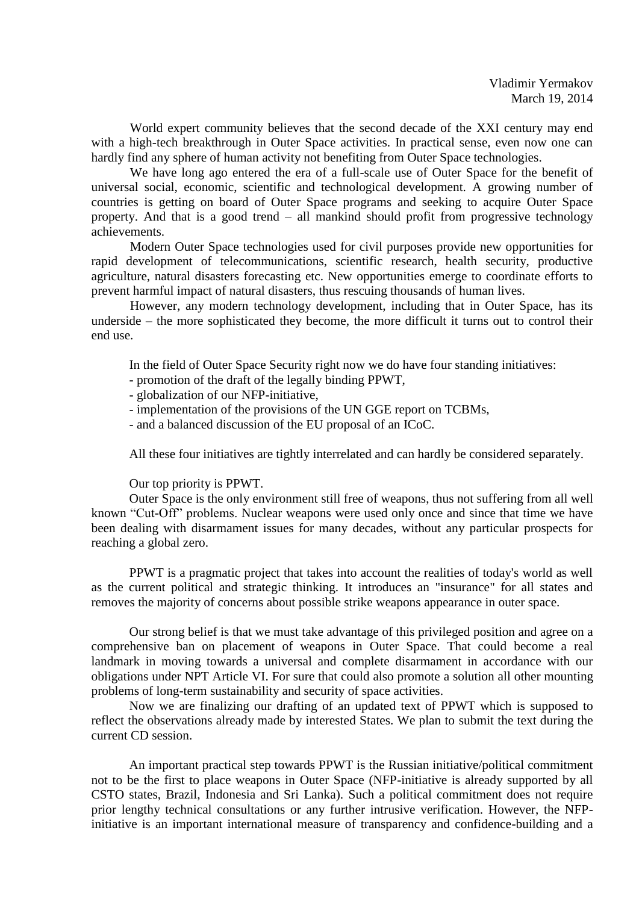World expert community believes that the second decade of the XXI century may end with a high-tech breakthrough in Outer Space activities. In practical sense, even now one can hardly find any sphere of human activity not benefiting from Outer Space technologies.

We have long ago entered the era of a full-scale use of Outer Space for the benefit of universal social, economic, scientific and technological development. A growing number of countries is getting on board of Outer Space programs and seeking to acquire Outer Space property. And that is a good trend – all mankind should profit from progressive technology achievements.

Modern Outer Space technologies used for civil purposes provide new opportunities for rapid development of telecommunications, scientific research, health security, productive agriculture, natural disasters forecasting etc. New opportunities emerge to coordinate efforts to prevent harmful impact of natural disasters, thus rescuing thousands of human lives.

However, any modern technology development, including that in Outer Space, has its underside – the more sophisticated they become, the more difficult it turns out to control their end use.

In the field of Outer Space Security right now we do have four standing initiatives:

- promotion of the draft of the legally binding PPWT,
- globalization of our NFP-initiative,
- implementation of the provisions of the UN GGE report on TCBMs,
- and a balanced discussion of the EU proposal of an ICoC.

All these four initiatives are tightly interrelated and can hardly be considered separately.

## Our top priority is PPWT.

Outer Space is the only environment still free of weapons, thus not suffering from all well known "Cut-Off" problems. Nuclear weapons were used only once and since that time we have been dealing with disarmament issues for many decades, without any particular prospects for reaching a global zero.

PPWT is a pragmatic project that takes into account the realities of today's world as well as the current political and strategic thinking. It introduces an "insurance" for all states and removes the majority of concerns about possible strike weapons appearance in outer space.

Our strong belief is that we must take advantage of this privileged position and agree on a comprehensive ban on placement of weapons in Outer Space. That could become a real landmark in moving towards a universal and complete disarmament in accordance with our obligations under NPT Article VI. For sure that could also promote a solution all other mounting problems of long-term sustainability and security of space activities.

Now we are finalizing our drafting of an updated text of PPWT which is supposed to reflect the observations already made by interested States. We plan to submit the text during the current CD session.

An important practical step towards PPWT is the Russian initiative/political commitment not to be the first to place weapons in Outer Space (NFP-initiative is already supported by all CSTO states, Brazil, Indonesia and Sri Lanka). Such a political commitment does not require prior lengthy technical consultations or any further intrusive verification. However, the NFPinitiative is an important international measure of transparency and confidence-building and a